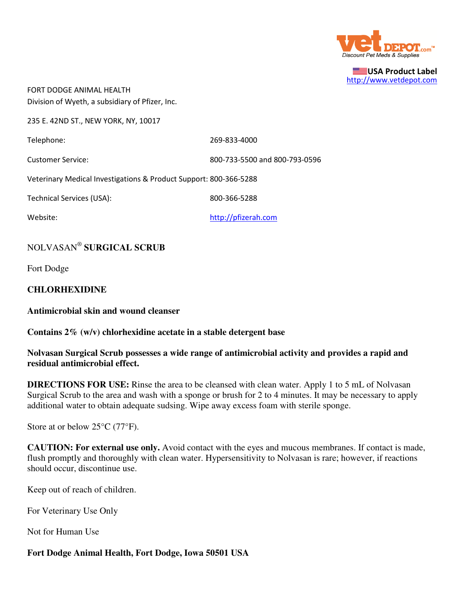

USA Product Label http://www.vetdepot.com

FORT DODGE ANIMAL HEALTH Division of Wyeth, a subsidiary of Pfizer, Inc.

235 E. 42ND ST., NEW YORK, NY, 10017

Telephone: 269-833-4000

Customer Service: 800-733-5500 and 800-793-0596

Veterinary Medical Investigations & Product Support: 800-366-5288

Technical Services (USA): 800-366-5288

Website: where the complete the complete that the http://pfizerah.com

# NOLVASAN®  **SURGICAL SCRUB**

Fort Dodge

## **CHLORHEXIDINE**

**Antimicrobial skin and wound cleanser**

#### **Contains 2% (w/v) chlorhexidine acetate in a stable detergent base**

## **Nolvasan Surgical Scrub possesses a wide range of antimicrobial activity and provides a rapid and residual antimicrobial effect.**

**DIRECTIONS FOR USE:** Rinse the area to be cleansed with clean water. Apply 1 to 5 mL of Nolvasan Surgical Scrub to the area and wash with a sponge or brush for 2 to 4 minutes. It may be necessary to apply additional water to obtain adequate sudsing. Wipe away excess foam with sterile sponge.

Store at or below 25<sup>o</sup>C (77<sup>o</sup>F).

**CAUTION: For external use only.** Avoid contact with the eyes and mucous membranes. If contact is made, flush promptly and thoroughly with clean water. Hypersensitivity to Nolvasan is rare; however, if reactions should occur, discontinue use.

Keep out of reach of children.

For Veterinary Use Only

Not for Human Use

# **Fort Dodge Animal Health, Fort Dodge, Iowa 50501 USA**